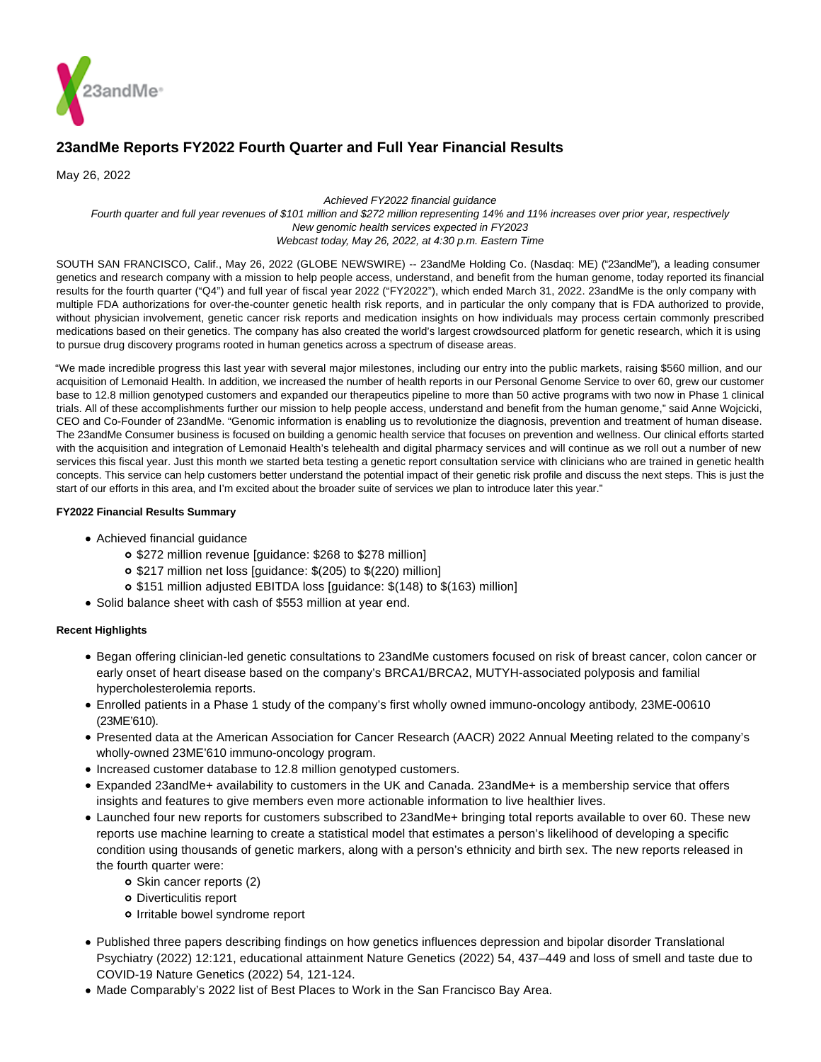

# **23andMe Reports FY2022 Fourth Quarter and Full Year Financial Results**

May 26, 2022

Achieved FY2022 financial guidance

Fourth quarter and full year revenues of \$101 million and \$272 million representing 14% and 11% increases over prior year, respectively New genomic health services expected in FY2023 Webcast today, May 26, 2022, at 4:30 p.m. Eastern Time

SOUTH SAN FRANCISCO, Calif., May 26, 2022 (GLOBE NEWSWIRE) -- 23andMe Holding Co. (Nasdaq: ME) ("23andMe"), a leading consumer genetics and research company with a mission to help people access, understand, and benefit from the human genome, today reported its financial results for the fourth quarter ("Q4") and full year of fiscal year 2022 ("FY2022"), which ended March 31, 2022. 23andMe is the only company with multiple FDA authorizations for over-the-counter genetic health risk reports, and in particular the only company that is FDA authorized to provide, without physician involvement, genetic cancer risk reports and medication insights on how individuals may process certain commonly prescribed medications based on their genetics. The company has also created the world's largest crowdsourced platform for genetic research, which it is using to pursue drug discovery programs rooted in human genetics across a spectrum of disease areas.

"We made incredible progress this last year with several major milestones, including our entry into the public markets, raising \$560 million, and our acquisition of Lemonaid Health. In addition, we increased the number of health reports in our Personal Genome Service to over 60, grew our customer base to 12.8 million genotyped customers and expanded our therapeutics pipeline to more than 50 active programs with two now in Phase 1 clinical trials. All of these accomplishments further our mission to help people access, understand and benefit from the human genome," said Anne Wojcicki, CEO and Co-Founder of 23andMe. "Genomic information is enabling us to revolutionize the diagnosis, prevention and treatment of human disease. The 23andMe Consumer business is focused on building a genomic health service that focuses on prevention and wellness. Our clinical efforts started with the acquisition and integration of Lemonaid Health's telehealth and digital pharmacy services and will continue as we roll out a number of new services this fiscal year. Just this month we started beta testing a genetic report consultation service with clinicians who are trained in genetic health concepts. This service can help customers better understand the potential impact of their genetic risk profile and discuss the next steps. This is just the start of our efforts in this area, and I'm excited about the broader suite of services we plan to introduce later this year."

# **FY2022 Financial Results Summary**

- Achieved financial guidance
	- \$272 million revenue [guidance: \$268 to \$278 million]
	- \$217 million net loss [guidance: \$(205) to \$(220) million]
	- \$151 million adjusted EBITDA loss [guidance: \$(148) to \$(163) million]
- Solid balance sheet with cash of \$553 million at year end.

# **Recent Highlights**

- Began offering clinician-led genetic consultations to 23andMe customers focused on risk of breast cancer, colon cancer or early onset of heart disease based on the company's BRCA1/BRCA2, MUTYH-associated polyposis and familial hypercholesterolemia reports.
- Enrolled patients in a Phase 1 study of the company's first wholly owned immuno-oncology antibody, 23ME-00610 (23ME'610).
- Presented data at the American Association for Cancer Research (AACR) 2022 Annual Meeting related to the company's wholly-owned 23ME'610 immuno-oncology program.
- Increased customer database to 12.8 million genotyped customers.
- Expanded 23andMe+ availability to customers in the UK and Canada. 23andMe+ is a membership service that offers insights and features to give members even more actionable information to live healthier lives.
- Launched four new reports for customers subscribed to 23andMe+ bringing total reports available to over 60. These new reports use machine learning to create a statistical model that estimates a person's likelihood of developing a specific condition using thousands of genetic markers, along with a person's ethnicity and birth sex. The new reports released in the fourth quarter were:
	- o Skin cancer reports (2)
	- Diverticulitis report
	- o Irritable bowel syndrome report
- Published three papers describing findings on how genetics influences depression and bipolar disorder Translational Psychiatry (2022) 12:121, educational attainment Nature Genetics (2022) 54, 437–449 and loss of smell and taste due to COVID-19 Nature Genetics (2022) 54, 121-124.
- Made Comparably's 2022 list of Best Places to Work in the San Francisco Bay Area.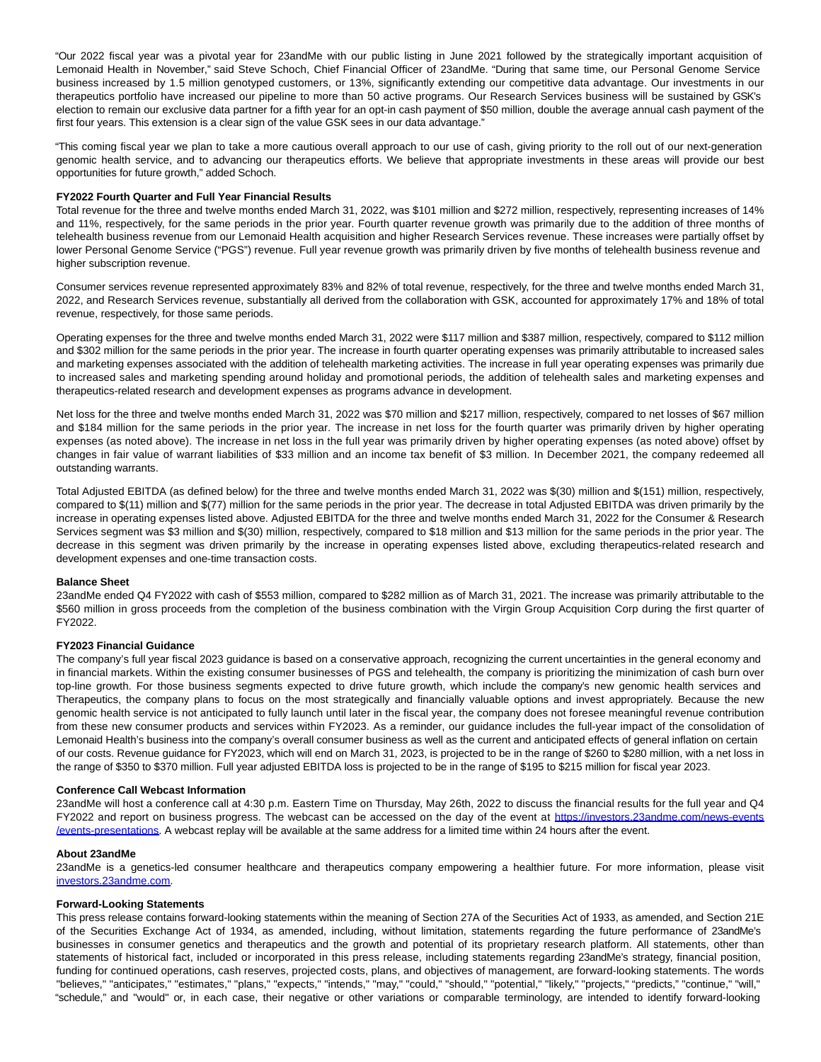"Our 2022 fiscal year was a pivotal year for 23andMe with our public listing in June 2021 followed by the strategically important acquisition of Lemonaid Health in November," said Steve Schoch, Chief Financial Officer of 23andMe. "During that same time, our Personal Genome Service business increased by 1.5 million genotyped customers, or 13%, significantly extending our competitive data advantage. Our investments in our therapeutics portfolio have increased our pipeline to more than 50 active programs. Our Research Services business will be sustained by GSK's election to remain our exclusive data partner for a fifth year for an opt-in cash payment of \$50 million, double the average annual cash payment of the first four years. This extension is a clear sign of the value GSK sees in our data advantage."

"This coming fiscal year we plan to take a more cautious overall approach to our use of cash, giving priority to the roll out of our next-generation genomic health service, and to advancing our therapeutics efforts. We believe that appropriate investments in these areas will provide our best opportunities for future growth," added Schoch.

#### **FY2022 Fourth Quarter and Full Year Financial Results**

Total revenue for the three and twelve months ended March 31, 2022, was \$101 million and \$272 million, respectively, representing increases of 14% and 11%, respectively, for the same periods in the prior year. Fourth quarter revenue growth was primarily due to the addition of three months of telehealth business revenue from our Lemonaid Health acquisition and higher Research Services revenue. These increases were partially offset by lower Personal Genome Service ("PGS") revenue. Full year revenue growth was primarily driven by five months of telehealth business revenue and higher subscription revenue.

Consumer services revenue represented approximately 83% and 82% of total revenue, respectively, for the three and twelve months ended March 31, 2022, and Research Services revenue, substantially all derived from the collaboration with GSK, accounted for approximately 17% and 18% of total revenue, respectively, for those same periods.

Operating expenses for the three and twelve months ended March 31, 2022 were \$117 million and \$387 million, respectively, compared to \$112 million and \$302 million for the same periods in the prior year. The increase in fourth quarter operating expenses was primarily attributable to increased sales and marketing expenses associated with the addition of telehealth marketing activities. The increase in full year operating expenses was primarily due to increased sales and marketing spending around holiday and promotional periods, the addition of telehealth sales and marketing expenses and therapeutics-related research and development expenses as programs advance in development.

Net loss for the three and twelve months ended March 31, 2022 was \$70 million and \$217 million, respectively, compared to net losses of \$67 million and \$184 million for the same periods in the prior year. The increase in net loss for the fourth quarter was primarily driven by higher operating expenses (as noted above). The increase in net loss in the full year was primarily driven by higher operating expenses (as noted above) offset by changes in fair value of warrant liabilities of \$33 million and an income tax benefit of \$3 million. In December 2021, the company redeemed all outstanding warrants.

Total Adjusted EBITDA (as defined below) for the three and twelve months ended March 31, 2022 was \$(30) million and \$(151) million, respectively, compared to \$(11) million and \$(77) million for the same periods in the prior year. The decrease in total Adjusted EBITDA was driven primarily by the increase in operating expenses listed above. Adjusted EBITDA for the three and twelve months ended March 31, 2022 for the Consumer & Research Services segment was \$3 million and \$(30) million, respectively, compared to \$18 million and \$13 million for the same periods in the prior year. The decrease in this segment was driven primarily by the increase in operating expenses listed above, excluding therapeutics-related research and development expenses and one-time transaction costs.

#### **Balance Sheet**

23andMe ended Q4 FY2022 with cash of \$553 million, compared to \$282 million as of March 31, 2021. The increase was primarily attributable to the \$560 million in gross proceeds from the completion of the business combination with the Virgin Group Acquisition Corp during the first quarter of FY2022.

#### **FY2023 Financial Guidance**

The company's full year fiscal 2023 guidance is based on a conservative approach, recognizing the current uncertainties in the general economy and in financial markets. Within the existing consumer businesses of PGS and telehealth, the company is prioritizing the minimization of cash burn over top-line growth. For those business segments expected to drive future growth, which include the company's new genomic health services and Therapeutics, the company plans to focus on the most strategically and financially valuable options and invest appropriately. Because the new genomic health service is not anticipated to fully launch until later in the fiscal year, the company does not foresee meaningful revenue contribution from these new consumer products and services within FY2023. As a reminder, our guidance includes the full-year impact of the consolidation of Lemonaid Health's business into the company's overall consumer business as well as the current and anticipated effects of general inflation on certain of our costs. Revenue guidance for FY2023, which will end on March 31, 2023, is projected to be in the range of \$260 to \$280 million, with a net loss in the range of \$350 to \$370 million. Full year adjusted EBITDA loss is projected to be in the range of \$195 to \$215 million for fiscal year 2023.

#### **Conference Call Webcast Information**

23andMe will host a conference call at 4:30 p.m. Eastern Time on Thursday, May 26th, 2022 to discuss the financial results for the full year and Q4 FY2022 and report on business progress. The webcast can be accessed on the day of the event at [https://investors.23andme.com/news-events](https://www.globenewswire.com/Tracker?data=M6yw05xgOK-PwaF4KGG40RB2zMFND8RqyMpguKRUjnXJgrs7JYtxnJV8YLOQMRhFw7QAo9QQKUU57VzQbKZJeyMT6AMRjX3JJNYsjN_1GgH2ixXStIjz7I_qtXDllNXuqescDT4MOiQZRrhWTsZw58OfHUediYh8lsTUWkm1EwhIujQ1ResGhnB379ibq8Bz8wH4AbZfHVyyJo4Bc1-JRA==) /events-presentations. A webcast replay will be available at the same address for a limited time within 24 hours after the event.

## **About 23andMe**

23andMe is a genetics-led consumer healthcare and therapeutics company empowering a healthier future. For more information, please visit [investors.23andme.com.](https://www.globenewswire.com/Tracker?data=4Wn-WlSifqJ3qEsKDvlfp_UnxLV94dSFhk-gk9H6Iz05muCxI-JdXCco4gLXnY-I7uSTFKgdmFbJwy1MT8lynqO9i0ovhKoQI6ciAKDEBQE=)

#### **Forward-Looking Statements**

This press release contains forward-looking statements within the meaning of Section 27A of the Securities Act of 1933, as amended, and Section 21E of the Securities Exchange Act of 1934, as amended, including, without limitation, statements regarding the future performance of 23andMe's businesses in consumer genetics and therapeutics and the growth and potential of its proprietary research platform. All statements, other than statements of historical fact, included or incorporated in this press release, including statements regarding 23andMe's strategy, financial position, funding for continued operations, cash reserves, projected costs, plans, and objectives of management, are forward-looking statements. The words "believes," "anticipates," "estimates," "plans," "expects," "intends," "may," "could," "should," "potential," "likely," "projects," "predicts," "continue," "will," "schedule," and "would" or, in each case, their negative or other variations or comparable terminology, are intended to identify forward-looking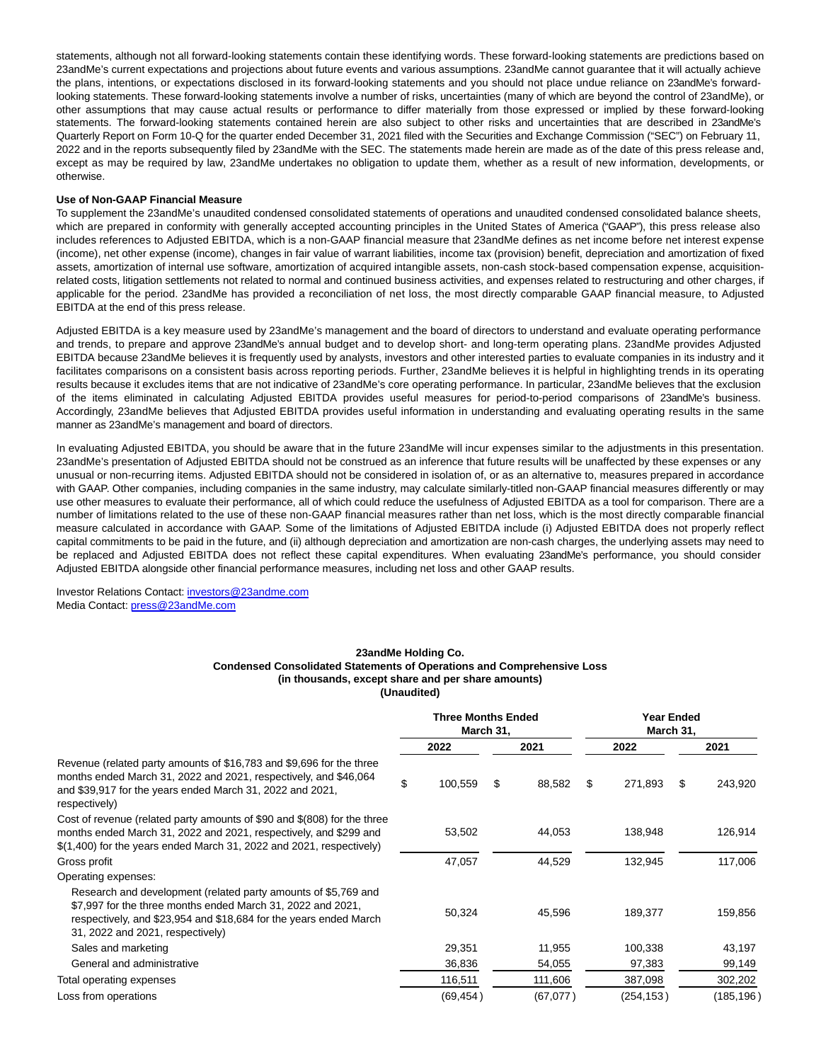statements, although not all forward-looking statements contain these identifying words. These forward-looking statements are predictions based on 23andMe's current expectations and projections about future events and various assumptions. 23andMe cannot guarantee that it will actually achieve the plans, intentions, or expectations disclosed in its forward-looking statements and you should not place undue reliance on 23andMe's forwardlooking statements. These forward-looking statements involve a number of risks, uncertainties (many of which are beyond the control of 23andMe), or other assumptions that may cause actual results or performance to differ materially from those expressed or implied by these forward-looking statements. The forward-looking statements contained herein are also subject to other risks and uncertainties that are described in 23andMe's Quarterly Report on Form 10-Q for the quarter ended December 31, 2021 filed with the Securities and Exchange Commission ("SEC") on February 11, 2022 and in the reports subsequently filed by 23andMe with the SEC. The statements made herein are made as of the date of this press release and, except as may be required by law, 23andMe undertakes no obligation to update them, whether as a result of new information, developments, or otherwise.

## **Use of Non-GAAP Financial Measure**

To supplement the 23andMe's unaudited condensed consolidated statements of operations and unaudited condensed consolidated balance sheets, which are prepared in conformity with generally accepted accounting principles in the United States of America ("GAAP"), this press release also includes references to Adjusted EBITDA, which is a non-GAAP financial measure that 23andMe defines as net income before net interest expense (income), net other expense (income), changes in fair value of warrant liabilities, income tax (provision) benefit, depreciation and amortization of fixed assets, amortization of internal use software, amortization of acquired intangible assets, non-cash stock-based compensation expense, acquisitionrelated costs, litigation settlements not related to normal and continued business activities, and expenses related to restructuring and other charges, if applicable for the period. 23andMe has provided a reconciliation of net loss, the most directly comparable GAAP financial measure, to Adjusted EBITDA at the end of this press release.

Adjusted EBITDA is a key measure used by 23andMe's management and the board of directors to understand and evaluate operating performance and trends, to prepare and approve 23andMe's annual budget and to develop short- and long-term operating plans. 23andMe provides Adjusted EBITDA because 23andMe believes it is frequently used by analysts, investors and other interested parties to evaluate companies in its industry and it facilitates comparisons on a consistent basis across reporting periods. Further, 23andMe believes it is helpful in highlighting trends in its operating results because it excludes items that are not indicative of 23andMe's core operating performance. In particular, 23andMe believes that the exclusion of the items eliminated in calculating Adjusted EBITDA provides useful measures for period-to-period comparisons of 23andMe's business. Accordingly, 23andMe believes that Adjusted EBITDA provides useful information in understanding and evaluating operating results in the same manner as 23andMe's management and board of directors.

In evaluating Adjusted EBITDA, you should be aware that in the future 23andMe will incur expenses similar to the adjustments in this presentation. 23andMe's presentation of Adjusted EBITDA should not be construed as an inference that future results will be unaffected by these expenses or any unusual or non-recurring items. Adjusted EBITDA should not be considered in isolation of, or as an alternative to, measures prepared in accordance with GAAP. Other companies, including companies in the same industry, may calculate similarly-titled non-GAAP financial measures differently or may use other measures to evaluate their performance, all of which could reduce the usefulness of Adjusted EBITDA as a tool for comparison. There are a number of limitations related to the use of these non-GAAP financial measures rather than net loss, which is the most directly comparable financial measure calculated in accordance with GAAP. Some of the limitations of Adjusted EBITDA include (i) Adjusted EBITDA does not properly reflect capital commitments to be paid in the future, and (ii) although depreciation and amortization are non-cash charges, the underlying assets may need to be replaced and Adjusted EBITDA does not reflect these capital expenditures. When evaluating 23andMe's performance, you should consider Adjusted EBITDA alongside other financial performance measures, including net loss and other GAAP results.

Investor Relations Contact: [investors@23andme.com](https://www.globenewswire.com/Tracker?data=4Wn-WlSifqJ3qEsKDvlfp9GquofamfKeS0fZbAfps4kc5zVcfQGZmQe0dTsBBfag2-g3aL7YFgCBZWdifpstTbvSu_I3zlpc7jJvirrfq1A=) Media Contact: [press@23andMe.com](https://www.globenewswire.com/Tracker?data=FioW_Xyhqw-LPd5w_UKa_-Ixn0pitK7evdI68HZZbvK0_NVV9dW4b6xmxi2yk3kEoJOIddzl3yjaFnQyB70zig==)

#### **23andMe Holding Co. Condensed Consolidated Statements of Operations and Comprehensive Loss (in thousands, except share and per share amounts) (Unaudited)**

|                                                                                                                                                                                                                                        | <b>Three Months Ended</b><br>March 31, |   |          |    | <b>Year Ended</b><br>March 31, |   |           |  |  |
|----------------------------------------------------------------------------------------------------------------------------------------------------------------------------------------------------------------------------------------|----------------------------------------|---|----------|----|--------------------------------|---|-----------|--|--|
|                                                                                                                                                                                                                                        | 2022                                   |   | 2021     |    | 2022                           |   | 2021      |  |  |
| Revenue (related party amounts of \$16,783 and \$9,696 for the three<br>months ended March 31, 2022 and 2021, respectively, and \$46,064<br>and \$39,917 for the years ended March 31, 2022 and 2021,<br>respectively)                 | \$<br>100,559                          | S | 88,582   | \$ | 271,893                        | S | 243,920   |  |  |
| Cost of revenue (related party amounts of \$90 and \$(808) for the three<br>months ended March 31, 2022 and 2021, respectively, and \$299 and<br>$$(1,400)$ for the years ended March 31, 2022 and 2021, respectively)                 | 53,502                                 |   | 44,053   |    | 138,948                        |   | 126,914   |  |  |
| Gross profit                                                                                                                                                                                                                           | 47,057                                 |   | 44,529   |    | 132,945                        |   | 117,006   |  |  |
| Operating expenses:                                                                                                                                                                                                                    |                                        |   |          |    |                                |   |           |  |  |
| Research and development (related party amounts of \$5,769 and<br>\$7,997 for the three months ended March 31, 2022 and 2021,<br>respectively, and \$23,954 and \$18,684 for the years ended March<br>31, 2022 and 2021, respectively) | 50,324                                 |   | 45,596   |    | 189,377                        |   | 159,856   |  |  |
| Sales and marketing                                                                                                                                                                                                                    | 29,351                                 |   | 11,955   |    | 100,338                        |   | 43,197    |  |  |
| General and administrative                                                                                                                                                                                                             | 36,836                                 |   | 54,055   |    | 97,383                         |   | 99,149    |  |  |
| Total operating expenses                                                                                                                                                                                                               | 116,511                                |   | 111,606  |    | 387,098                        |   | 302,202   |  |  |
| Loss from operations                                                                                                                                                                                                                   | (69, 454)                              |   | (67,077) |    | (254,153)                      |   | (185,196) |  |  |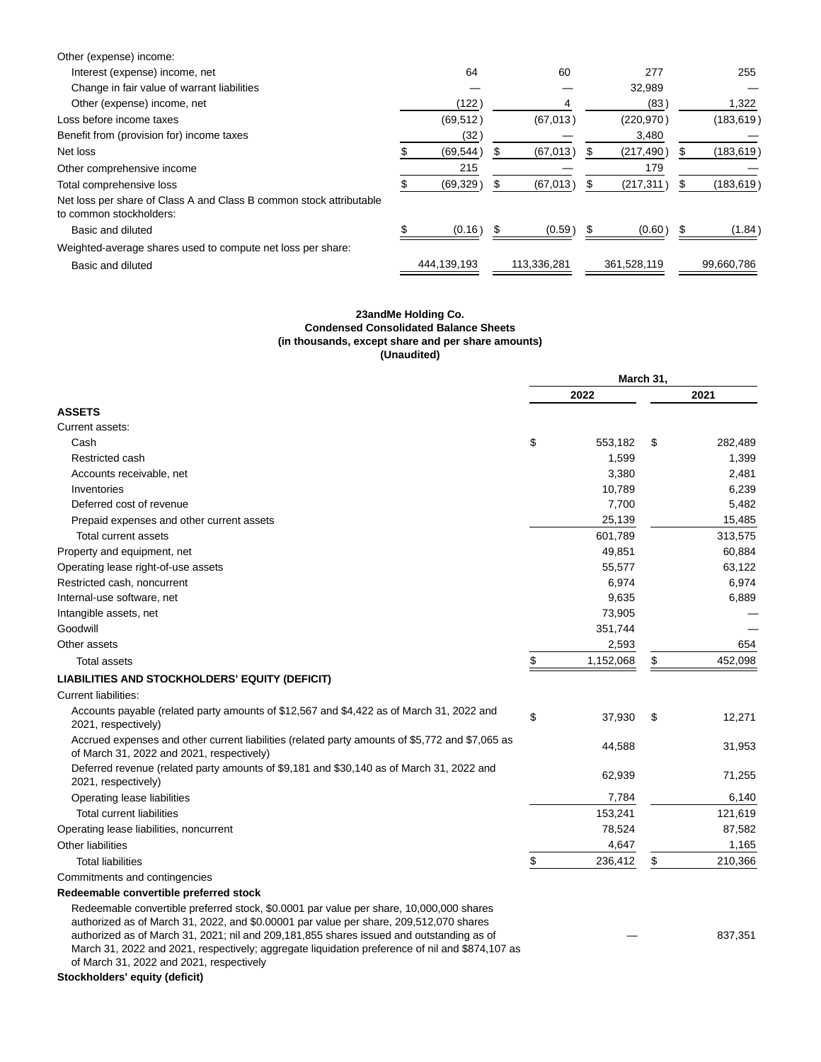| Other (expense) income:                                                                        |             |             |             |            |
|------------------------------------------------------------------------------------------------|-------------|-------------|-------------|------------|
| Interest (expense) income, net                                                                 | 64          | 60          | 277         | 255        |
| Change in fair value of warrant liabilities                                                    |             |             | 32,989      |            |
| Other (expense) income, net                                                                    | (122)       |             | (83)        | 1,322      |
| Loss before income taxes                                                                       | (69, 512)   | (67, 013)   | (220, 970)  | (183, 619) |
| Benefit from (provision for) income taxes                                                      | (32)        |             | 3,480       |            |
| Net loss                                                                                       | (69, 544)   | (67, 013)   | (217, 490)  | (183, 619) |
| Other comprehensive income                                                                     | 215         |             | 179         |            |
| Total comprehensive loss                                                                       | (69, 329)   | (67, 013)   | (217, 311)  | (183, 619) |
| Net loss per share of Class A and Class B common stock attributable<br>to common stockholders: |             |             |             |            |
| Basic and diluted                                                                              | (0.16)      | (0.59)      | (0.60)      | (1.84)     |
| Weighted-average shares used to compute net loss per share:                                    |             |             |             |            |
| Basic and diluted                                                                              | 444,139,193 | 113,336,281 | 361,528,119 | 99,660,786 |

# **23andMe Holding Co. Condensed Consolidated Balance Sheets (in thousands, except share and per share amounts) (Unaudited)**

|                                                                                                                                                                                                                                                                                                                                                                                                                                                                          |      | March 31, |    |         |  |  |
|--------------------------------------------------------------------------------------------------------------------------------------------------------------------------------------------------------------------------------------------------------------------------------------------------------------------------------------------------------------------------------------------------------------------------------------------------------------------------|------|-----------|----|---------|--|--|
|                                                                                                                                                                                                                                                                                                                                                                                                                                                                          | 2022 |           |    | 2021    |  |  |
| <b>ASSETS</b>                                                                                                                                                                                                                                                                                                                                                                                                                                                            |      |           |    |         |  |  |
| Current assets:                                                                                                                                                                                                                                                                                                                                                                                                                                                          |      |           |    |         |  |  |
| Cash                                                                                                                                                                                                                                                                                                                                                                                                                                                                     | \$   | 553,182   | \$ | 282,489 |  |  |
| Restricted cash                                                                                                                                                                                                                                                                                                                                                                                                                                                          |      | 1,599     |    | 1,399   |  |  |
| Accounts receivable, net                                                                                                                                                                                                                                                                                                                                                                                                                                                 |      | 3,380     |    | 2,481   |  |  |
| Inventories                                                                                                                                                                                                                                                                                                                                                                                                                                                              |      | 10,789    |    | 6,239   |  |  |
| Deferred cost of revenue                                                                                                                                                                                                                                                                                                                                                                                                                                                 |      | 7,700     |    | 5,482   |  |  |
| Prepaid expenses and other current assets                                                                                                                                                                                                                                                                                                                                                                                                                                |      | 25,139    |    | 15,485  |  |  |
| Total current assets                                                                                                                                                                                                                                                                                                                                                                                                                                                     |      | 601,789   |    | 313,575 |  |  |
| Property and equipment, net                                                                                                                                                                                                                                                                                                                                                                                                                                              |      | 49,851    |    | 60,884  |  |  |
| Operating lease right-of-use assets                                                                                                                                                                                                                                                                                                                                                                                                                                      |      | 55,577    |    | 63,122  |  |  |
| Restricted cash, noncurrent                                                                                                                                                                                                                                                                                                                                                                                                                                              |      | 6,974     |    | 6,974   |  |  |
| Internal-use software, net                                                                                                                                                                                                                                                                                                                                                                                                                                               |      | 9,635     |    | 6,889   |  |  |
| Intangible assets, net                                                                                                                                                                                                                                                                                                                                                                                                                                                   |      | 73,905    |    |         |  |  |
| Goodwill                                                                                                                                                                                                                                                                                                                                                                                                                                                                 |      | 351,744   |    |         |  |  |
| Other assets                                                                                                                                                                                                                                                                                                                                                                                                                                                             |      | 2,593     |    | 654     |  |  |
| <b>Total assets</b>                                                                                                                                                                                                                                                                                                                                                                                                                                                      | \$   | 1,152,068 | \$ | 452,098 |  |  |
| LIABILITIES AND STOCKHOLDERS' EQUITY (DEFICIT)                                                                                                                                                                                                                                                                                                                                                                                                                           |      |           |    |         |  |  |
| <b>Current liabilities:</b>                                                                                                                                                                                                                                                                                                                                                                                                                                              |      |           |    |         |  |  |
| Accounts payable (related party amounts of \$12,567 and \$4,422 as of March 31, 2022 and<br>2021, respectively)                                                                                                                                                                                                                                                                                                                                                          | \$   | 37,930    | \$ | 12,271  |  |  |
| Accrued expenses and other current liabilities (related party amounts of \$5,772 and \$7,065 as<br>of March 31, 2022 and 2021, respectively)                                                                                                                                                                                                                                                                                                                             |      | 44,588    |    | 31,953  |  |  |
| Deferred revenue (related party amounts of \$9,181 and \$30,140 as of March 31, 2022 and<br>2021, respectively)                                                                                                                                                                                                                                                                                                                                                          |      | 62,939    |    | 71,255  |  |  |
| Operating lease liabilities                                                                                                                                                                                                                                                                                                                                                                                                                                              |      | 7,784     |    | 6,140   |  |  |
| <b>Total current liabilities</b>                                                                                                                                                                                                                                                                                                                                                                                                                                         |      | 153,241   |    | 121,619 |  |  |
| Operating lease liabilities, noncurrent                                                                                                                                                                                                                                                                                                                                                                                                                                  |      | 78,524    |    | 87,582  |  |  |
| Other liabilities                                                                                                                                                                                                                                                                                                                                                                                                                                                        |      | 4,647     |    | 1,165   |  |  |
| <b>Total liabilities</b>                                                                                                                                                                                                                                                                                                                                                                                                                                                 | \$   | 236,412   | \$ | 210,366 |  |  |
| Commitments and contingencies                                                                                                                                                                                                                                                                                                                                                                                                                                            |      |           |    |         |  |  |
| Redeemable convertible preferred stock                                                                                                                                                                                                                                                                                                                                                                                                                                   |      |           |    |         |  |  |
| Redeemable convertible preferred stock, \$0.0001 par value per share, 10,000,000 shares<br>authorized as of March 31, 2022, and \$0.00001 par value per share, 209,512,070 shares<br>authorized as of March 31, 2021; nil and 209,181,855 shares issued and outstanding as of<br>March 31, 2022 and 2021, respectively; aggregate liquidation preference of nil and \$874,107 as<br>of March 31, 2022 and 2021, respectively<br>النام المطارين ببين بسم امعماما مطرامهما |      |           |    | 837,351 |  |  |

## **Stockholders' equity (deficit)**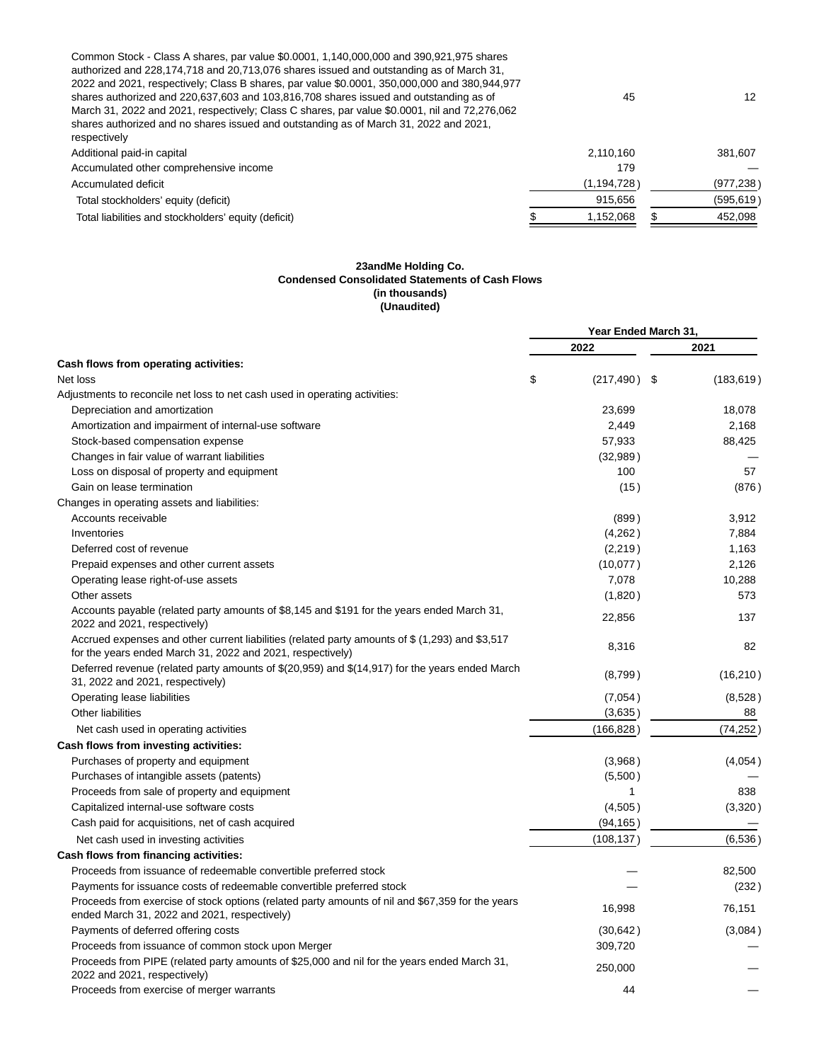| Common Stock - Class A shares, par value \$0.0001, 1,140,000,000 and 390,921,975 shares<br>authorized and 228,174,718 and 20,713,076 shares issued and outstanding as of March 31,<br>2022 and 2021, respectively; Class B shares, par value \$0.0001, 350,000,000 and 380,944,977<br>shares authorized and 220,637,603 and 103,816,708 shares issued and outstanding as of<br>March 31, 2022 and 2021, respectively; Class C shares, par value \$0.0001, nil and 72,276,062<br>shares authorized and no shares issued and outstanding as of March 31, 2022 and 2021,<br>respectively | 45            | 12         |
|---------------------------------------------------------------------------------------------------------------------------------------------------------------------------------------------------------------------------------------------------------------------------------------------------------------------------------------------------------------------------------------------------------------------------------------------------------------------------------------------------------------------------------------------------------------------------------------|---------------|------------|
| Additional paid-in capital                                                                                                                                                                                                                                                                                                                                                                                                                                                                                                                                                            | 2,110,160     | 381.607    |
| Accumulated other comprehensive income                                                                                                                                                                                                                                                                                                                                                                                                                                                                                                                                                | 179           |            |
| Accumulated deficit                                                                                                                                                                                                                                                                                                                                                                                                                                                                                                                                                                   | (1, 194, 728) | (977, 238) |
| Total stockholders' equity (deficit)                                                                                                                                                                                                                                                                                                                                                                                                                                                                                                                                                  | 915,656       | (595, 619) |
| Total liabilities and stockholders' equity (deficit)                                                                                                                                                                                                                                                                                                                                                                                                                                                                                                                                  | 1,152,068     | 452,098    |
|                                                                                                                                                                                                                                                                                                                                                                                                                                                                                                                                                                                       |               |            |

## **23andMe Holding Co. Condensed Consolidated Statements of Cash Flows (in thousands) (Unaudited)**

|                                                                                                                                                               | Year Ended March 31, |      |            |  |
|---------------------------------------------------------------------------------------------------------------------------------------------------------------|----------------------|------|------------|--|
|                                                                                                                                                               | 2022                 |      | 2021       |  |
| Cash flows from operating activities:                                                                                                                         |                      |      |            |  |
| Net loss                                                                                                                                                      | \$<br>(217, 490)     | - \$ | (183, 619) |  |
| Adjustments to reconcile net loss to net cash used in operating activities:                                                                                   |                      |      |            |  |
| Depreciation and amortization                                                                                                                                 | 23,699               |      | 18,078     |  |
| Amortization and impairment of internal-use software                                                                                                          | 2,449                |      | 2,168      |  |
| Stock-based compensation expense                                                                                                                              | 57,933               |      | 88,425     |  |
| Changes in fair value of warrant liabilities                                                                                                                  | (32,989)             |      |            |  |
| Loss on disposal of property and equipment                                                                                                                    | 100                  |      | 57         |  |
| Gain on lease termination                                                                                                                                     | (15)                 |      | (876)      |  |
| Changes in operating assets and liabilities:                                                                                                                  |                      |      |            |  |
| Accounts receivable                                                                                                                                           | (899)                |      | 3,912      |  |
| Inventories                                                                                                                                                   | (4,262)              |      | 7,884      |  |
| Deferred cost of revenue                                                                                                                                      | (2,219)              |      | 1,163      |  |
| Prepaid expenses and other current assets                                                                                                                     | (10,077)             |      | 2,126      |  |
| Operating lease right-of-use assets                                                                                                                           | 7,078                |      | 10,288     |  |
| Other assets                                                                                                                                                  | (1,820)              |      | 573        |  |
| Accounts payable (related party amounts of \$8,145 and \$191 for the years ended March 31,<br>2022 and 2021, respectively)                                    | 22,856               |      | 137        |  |
| Accrued expenses and other current liabilities (related party amounts of \$ (1,293) and \$3,517<br>for the years ended March 31, 2022 and 2021, respectively) | 8,316                |      | 82         |  |
| Deferred revenue (related party amounts of \$(20,959) and \$(14,917) for the years ended March<br>31, 2022 and 2021, respectively)                            | (8,799)              |      | (16, 210)  |  |
| Operating lease liabilities                                                                                                                                   | (7,054)              |      | (8,528)    |  |
| Other liabilities                                                                                                                                             | (3,635)              |      | 88         |  |
| Net cash used in operating activities                                                                                                                         | (166, 828)           |      | (74, 252)  |  |
| Cash flows from investing activities:                                                                                                                         |                      |      |            |  |
| Purchases of property and equipment                                                                                                                           | (3,968)              |      | (4,054)    |  |
| Purchases of intangible assets (patents)                                                                                                                      | (5,500)              |      |            |  |
| Proceeds from sale of property and equipment                                                                                                                  | $\mathbf{1}$         |      | 838        |  |
| Capitalized internal-use software costs                                                                                                                       | (4,505)              |      | (3,320)    |  |
| Cash paid for acquisitions, net of cash acquired                                                                                                              | (94, 165)            |      |            |  |
| Net cash used in investing activities                                                                                                                         | (108, 137)           |      | (6,536)    |  |
| Cash flows from financing activities:                                                                                                                         |                      |      |            |  |
| Proceeds from issuance of redeemable convertible preferred stock                                                                                              |                      |      | 82,500     |  |
| Payments for issuance costs of redeemable convertible preferred stock                                                                                         |                      |      | (232)      |  |
| Proceeds from exercise of stock options (related party amounts of nil and \$67,359 for the years<br>ended March 31, 2022 and 2021, respectively)              | 16,998               |      | 76,151     |  |
| Payments of deferred offering costs                                                                                                                           | (30, 642)            |      | (3,084)    |  |
| Proceeds from issuance of common stock upon Merger                                                                                                            | 309,720              |      |            |  |
| Proceeds from PIPE (related party amounts of \$25,000 and nil for the years ended March 31,<br>2022 and 2021, respectively)                                   | 250,000              |      |            |  |
| Proceeds from exercise of merger warrants                                                                                                                     | 44                   |      |            |  |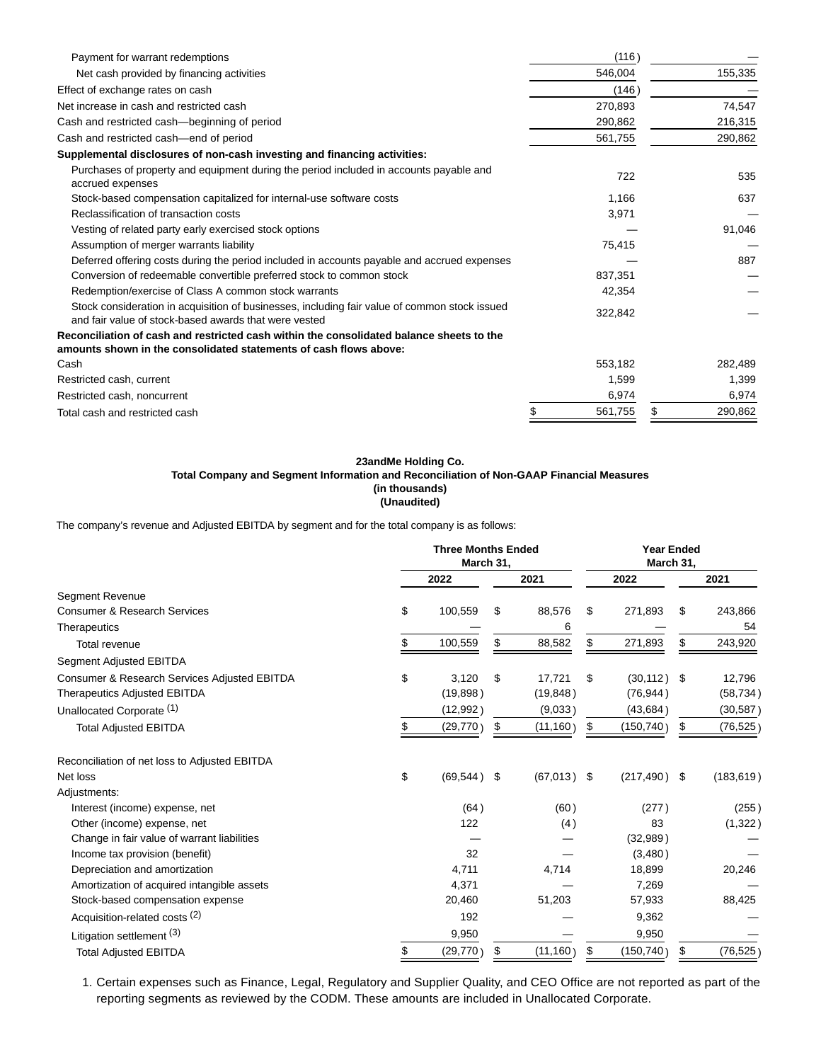| Payment for warrant redemptions                                                                                                                               | (116)   |   |         |
|---------------------------------------------------------------------------------------------------------------------------------------------------------------|---------|---|---------|
| Net cash provided by financing activities                                                                                                                     | 546,004 |   | 155,335 |
| Effect of exchange rates on cash                                                                                                                              | (146)   |   |         |
| Net increase in cash and restricted cash                                                                                                                      | 270.893 |   | 74,547  |
| Cash and restricted cash—beginning of period                                                                                                                  | 290,862 |   | 216,315 |
| Cash and restricted cash-end of period                                                                                                                        | 561,755 |   | 290,862 |
| Supplemental disclosures of non-cash investing and financing activities:                                                                                      |         |   |         |
| Purchases of property and equipment during the period included in accounts payable and<br>accrued expenses                                                    | 722     |   | 535     |
| Stock-based compensation capitalized for internal-use software costs                                                                                          | 1,166   |   | 637     |
| Reclassification of transaction costs                                                                                                                         | 3,971   |   |         |
| Vesting of related party early exercised stock options                                                                                                        |         |   | 91,046  |
| Assumption of merger warrants liability                                                                                                                       | 75,415  |   |         |
| Deferred offering costs during the period included in accounts payable and accrued expenses                                                                   |         |   | 887     |
| Conversion of redeemable convertible preferred stock to common stock                                                                                          | 837,351 |   |         |
| Redemption/exercise of Class A common stock warrants                                                                                                          | 42,354  |   |         |
| Stock consideration in acquisition of businesses, including fair value of common stock issued<br>and fair value of stock-based awards that were vested        | 322,842 |   |         |
| Reconciliation of cash and restricted cash within the consolidated balance sheets to the<br>amounts shown in the consolidated statements of cash flows above: |         |   |         |
| Cash                                                                                                                                                          | 553,182 |   | 282,489 |
| Restricted cash, current                                                                                                                                      | 1,599   |   | 1,399   |
| Restricted cash, noncurrent                                                                                                                                   | 6,974   |   | 6,974   |
| Total cash and restricted cash                                                                                                                                | 561,755 | S | 290,862 |

## **23andMe Holding Co. Total Company and Segment Information and Reconciliation of Non-GAAP Financial Measures (in thousands) (Unaudited)**

The company's revenue and Adjusted EBITDA by segment and for the total company is as follows:

|                                               |      | <b>Three Months Ended</b><br>March 31, |                 |    | <b>Year Ended</b><br>March 31, |    |            |  |
|-----------------------------------------------|------|----------------------------------------|-----------------|----|--------------------------------|----|------------|--|
|                                               | 2022 |                                        | 2021            |    | 2022                           |    | 2021       |  |
| <b>Segment Revenue</b>                        |      |                                        |                 |    |                                |    |            |  |
| <b>Consumer &amp; Research Services</b>       | \$   | 100,559                                | \$<br>88,576    | \$ | 271,893                        | \$ | 243,866    |  |
| Therapeutics                                  |      |                                        | 6               |    |                                |    | 54         |  |
| Total revenue                                 |      | 100,559                                | \$<br>88,582    | \$ | 271,893                        | \$ | 243,920    |  |
| Segment Adjusted EBITDA                       |      |                                        |                 |    |                                |    |            |  |
| Consumer & Research Services Adjusted EBITDA  | \$   | 3,120                                  | \$<br>17.721    | \$ | (30, 112)                      | \$ | 12,796     |  |
| <b>Therapeutics Adjusted EBITDA</b>           |      | (19, 898)                              | (19, 848)       |    | (76, 944)                      |    | (58, 734)  |  |
| Unallocated Corporate (1)                     |      | (12,992)                               | (9,033)         |    | (43, 684)                      |    | (30, 587)  |  |
| <b>Total Adjusted EBITDA</b>                  |      | (29, 770)                              | \$<br>(11, 160) | \$ | (150, 740)                     | \$ | (76, 525)  |  |
| Reconciliation of net loss to Adjusted EBITDA |      |                                        |                 |    |                                |    |            |  |
| Net loss                                      | \$   | $(69, 544)$ \$                         | $(67,013)$ \$   |    | $(217, 490)$ \$                |    | (183, 619) |  |
| Adjustments:                                  |      |                                        |                 |    |                                |    |            |  |
| Interest (income) expense, net                |      | (64)                                   | (60)            |    | (277)                          |    | (255)      |  |
| Other (income) expense, net                   |      | 122                                    | (4)             |    | 83                             |    | (1,322)    |  |
| Change in fair value of warrant liabilities   |      |                                        |                 |    | (32,989)                       |    |            |  |
| Income tax provision (benefit)                |      | 32                                     |                 |    | (3,480)                        |    |            |  |
| Depreciation and amortization                 |      | 4,711                                  | 4,714           |    | 18,899                         |    | 20,246     |  |
| Amortization of acquired intangible assets    |      | 4,371                                  |                 |    | 7,269                          |    |            |  |
| Stock-based compensation expense              |      | 20,460                                 | 51,203          |    | 57,933                         |    | 88,425     |  |
| Acquisition-related costs (2)                 |      | 192                                    |                 |    | 9,362                          |    |            |  |
| Litigation settlement (3)                     |      | 9,950                                  |                 |    | 9,950                          |    |            |  |
| <b>Total Adjusted EBITDA</b>                  |      | (29, 770)                              | \$<br>(11, 160) | \$ | (150, 740)                     | \$ | (76, 525)  |  |

1. Certain expenses such as Finance, Legal, Regulatory and Supplier Quality, and CEO Office are not reported as part of the reporting segments as reviewed by the CODM. These amounts are included in Unallocated Corporate.